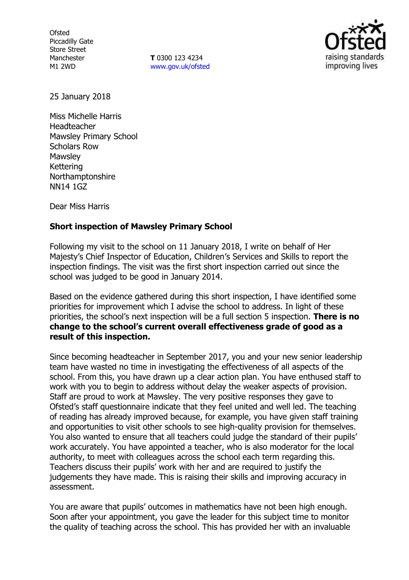**Ofsted** Piccadilly Gate Store Street Manchester M1 2WD

**T** 0300 123 4234 [www.gov.uk/ofsted](http://www.gov.uk/ofsted)



25 January 2018

Miss Michelle Harris Headteacher Mawsley Primary School Scholars Row **Mawsley** Kettering Northamptonshire NN14 1GZ

Dear Miss Harris

### **Short inspection of Mawsley Primary School**

Following my visit to the school on 11 January 2018, I write on behalf of Her Majesty's Chief Inspector of Education, Children's Services and Skills to report the inspection findings. The visit was the first short inspection carried out since the school was judged to be good in January 2014.

Based on the evidence gathered during this short inspection, I have identified some priorities for improvement which I advise the school to address. In light of these priorities, the school's next inspection will be a full section 5 inspection. **There is no change to the school's current overall effectiveness grade of good as a result of this inspection.**

Since becoming headteacher in September 2017, you and your new senior leadership team have wasted no time in investigating the effectiveness of all aspects of the school. From this, you have drawn up a clear action plan. You have enthused staff to work with you to begin to address without delay the weaker aspects of provision. Staff are proud to work at Mawsley. The very positive responses they gave to Ofsted's staff questionnaire indicate that they feel united and well led. The teaching of reading has already improved because, for example, you have given staff training and opportunities to visit other schools to see high-quality provision for themselves. You also wanted to ensure that all teachers could judge the standard of their pupils' work accurately. You have appointed a teacher, who is also moderator for the local authority, to meet with colleagues across the school each term regarding this. Teachers discuss their pupils' work with her and are required to justify the judgements they have made. This is raising their skills and improving accuracy in assessment.

You are aware that pupils' outcomes in mathematics have not been high enough. Soon after your appointment, you gave the leader for this subject time to monitor the quality of teaching across the school. This has provided her with an invaluable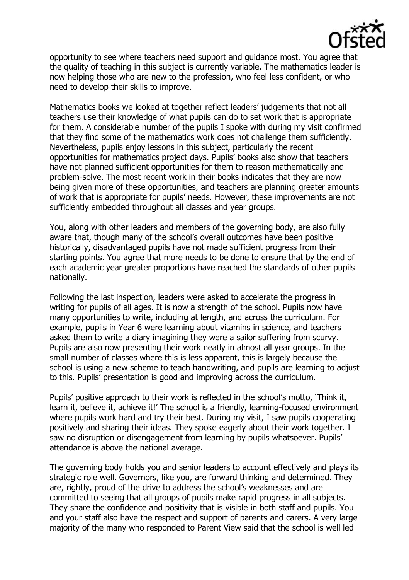

opportunity to see where teachers need support and guidance most. You agree that the quality of teaching in this subject is currently variable. The mathematics leader is now helping those who are new to the profession, who feel less confident, or who need to develop their skills to improve.

Mathematics books we looked at together reflect leaders' judgements that not all teachers use their knowledge of what pupils can do to set work that is appropriate for them. A considerable number of the pupils I spoke with during my visit confirmed that they find some of the mathematics work does not challenge them sufficiently. Nevertheless, pupils enjoy lessons in this subject, particularly the recent opportunities for mathematics project days. Pupils' books also show that teachers have not planned sufficient opportunities for them to reason mathematically and problem-solve. The most recent work in their books indicates that they are now being given more of these opportunities, and teachers are planning greater amounts of work that is appropriate for pupils' needs. However, these improvements are not sufficiently embedded throughout all classes and year groups.

You, along with other leaders and members of the governing body, are also fully aware that, though many of the school's overall outcomes have been positive historically, disadvantaged pupils have not made sufficient progress from their starting points. You agree that more needs to be done to ensure that by the end of each academic year greater proportions have reached the standards of other pupils nationally.

Following the last inspection, leaders were asked to accelerate the progress in writing for pupils of all ages. It is now a strength of the school. Pupils now have many opportunities to write, including at length, and across the curriculum. For example, pupils in Year 6 were learning about vitamins in science, and teachers asked them to write a diary imagining they were a sailor suffering from scurvy. Pupils are also now presenting their work neatly in almost all year groups. In the small number of classes where this is less apparent, this is largely because the school is using a new scheme to teach handwriting, and pupils are learning to adjust to this. Pupils' presentation is good and improving across the curriculum.

Pupils' positive approach to their work is reflected in the school's motto, 'Think it, learn it, believe it, achieve it!' The school is a friendly, learning-focused environment where pupils work hard and try their best. During my visit, I saw pupils cooperating positively and sharing their ideas. They spoke eagerly about their work together. I saw no disruption or disengagement from learning by pupils whatsoever. Pupils' attendance is above the national average.

The governing body holds you and senior leaders to account effectively and plays its strategic role well. Governors, like you, are forward thinking and determined. They are, rightly, proud of the drive to address the school's weaknesses and are committed to seeing that all groups of pupils make rapid progress in all subjects. They share the confidence and positivity that is visible in both staff and pupils. You and your staff also have the respect and support of parents and carers. A very large majority of the many who responded to Parent View said that the school is well led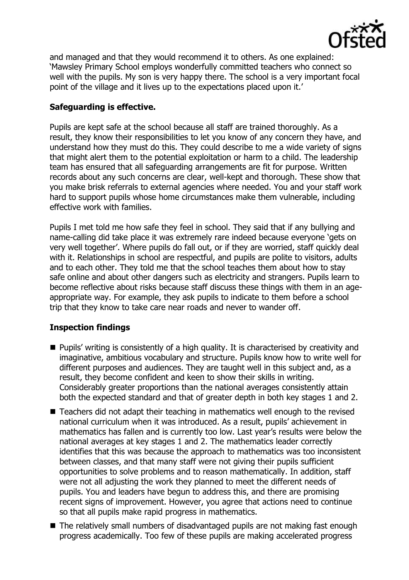

and managed and that they would recommend it to others. As one explained: 'Mawsley Primary School employs wonderfully committed teachers who connect so well with the pupils. My son is very happy there. The school is a very important focal point of the village and it lives up to the expectations placed upon it.'

# **Safeguarding is effective.**

Pupils are kept safe at the school because all staff are trained thoroughly. As a result, they know their responsibilities to let you know of any concern they have, and understand how they must do this. They could describe to me a wide variety of signs that might alert them to the potential exploitation or harm to a child. The leadership team has ensured that all safeguarding arrangements are fit for purpose. Written records about any such concerns are clear, well-kept and thorough. These show that you make brisk referrals to external agencies where needed. You and your staff work hard to support pupils whose home circumstances make them vulnerable, including effective work with families.

Pupils I met told me how safe they feel in school. They said that if any bullying and name-calling did take place it was extremely rare indeed because everyone 'gets on very well together'. Where pupils do fall out, or if they are worried, staff quickly deal with it. Relationships in school are respectful, and pupils are polite to visitors, adults and to each other. They told me that the school teaches them about how to stay safe online and about other dangers such as electricity and strangers. Pupils learn to become reflective about risks because staff discuss these things with them in an ageappropriate way. For example, they ask pupils to indicate to them before a school trip that they know to take care near roads and never to wander off.

# **Inspection findings**

- Pupils' writing is consistently of a high quality. It is characterised by creativity and imaginative, ambitious vocabulary and structure. Pupils know how to write well for different purposes and audiences. They are taught well in this subject and, as a result, they become confident and keen to show their skills in writing. Considerably greater proportions than the national averages consistently attain both the expected standard and that of greater depth in both key stages 1 and 2.
- Teachers did not adapt their teaching in mathematics well enough to the revised national curriculum when it was introduced. As a result, pupils' achievement in mathematics has fallen and is currently too low. Last year's results were below the national averages at key stages 1 and 2. The mathematics leader correctly identifies that this was because the approach to mathematics was too inconsistent between classes, and that many staff were not giving their pupils sufficient opportunities to solve problems and to reason mathematically. In addition, staff were not all adjusting the work they planned to meet the different needs of pupils. You and leaders have begun to address this, and there are promising recent signs of improvement. However, you agree that actions need to continue so that all pupils make rapid progress in mathematics.
- The relatively small numbers of disadvantaged pupils are not making fast enough progress academically. Too few of these pupils are making accelerated progress